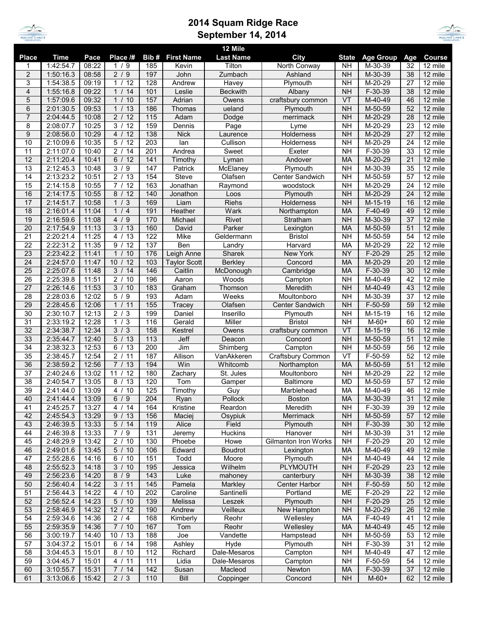

## **2014 Squam Ridge Race September 14, 2014**



|                  |             |       |                      |                  |                     | 12 Mile          |                      |                |                  |     |                       |
|------------------|-------------|-------|----------------------|------------------|---------------------|------------------|----------------------|----------------|------------------|-----|-----------------------|
| <b>Place</b>     | <b>Time</b> | Pace  | Place /#             | Bib#             | <b>First Name</b>   | <b>Last Name</b> | City                 | <b>State</b>   | <b>Age Group</b> | Age | Course                |
| 1                | 1:42:54.7   | 08:22 | 1/9                  | 185              | Kevin               | Tilton           | North Conway         | <b>NH</b>      | M-30-39          | 32  | 12 mile               |
| $\overline{2}$   | 1:50:16.3   | 08:58 | 2/9                  | 197              | John                | Zumbach          | Ashland              | <b>NH</b>      | M-30-39          | 38  | 12 mile               |
| 3                | 1:54:38.5   | 09:19 | 1/12                 | 128              | Andrew              | Havey            | Plymouth             | <b>NH</b>      | M-20-29          | 27  | 12 mile               |
| 4                | 1:55:16.8   | 09:22 | 1/14                 | 101              | Leslie              | <b>Beckwith</b>  | Albany               | <b>NH</b>      | $F-30-39$        | 38  | 12 mile               |
| 5                | 1:57:09.6   | 09:32 | 1 / 10               | 157              | Adrian              | Owens            | craftsbury common    | VT             | M-40-49          | 46  | 12 mile               |
| 6                | 2:01:30.5   | 09:53 | 1 / 13               | 186              | Thomas              | ueland           | Plymouth             | <b>NH</b>      | M-50-59          | 52  | 12 mile               |
| $\overline{7}$   | 2:04:44.5   | 10:08 | 2/12                 | 115              | Adam                | Dodge            | merrimack            | <b>NH</b>      | M-20-29          | 28  | 12 mile               |
| 8                | 2:08:07.7   | 10:25 | 3 / 12               | 159              | Dennis              | Page             | Lyme                 | <b>NH</b>      | M-20-29          | 23  | 12 mile               |
| $\boldsymbol{9}$ | 2:08:56.0   | 10:29 | 4/<br>12             | 138              | <b>Nick</b>         | Laurence         | <b>Holderness</b>    | <b>NH</b>      | M-20-29          | 27  | 12 mile               |
| 10               | 2:10:09.6   | 10:35 | 12<br>5/             | 203              | lan                 | Cullison         | Holderness           | <b>NH</b>      | M-20-29          | 24  | 12 mile               |
|                  |             |       |                      |                  |                     |                  |                      |                |                  |     |                       |
| 11               | 2:11:07.0   | 10:40 | 2/<br>14             | 201              | Andrea              | Sweet            | Exeter               | <b>NH</b>      | F-30-39          | 33  | 12 mile               |
| 12               | 2:11:20.4   | 10:41 | 6/<br>12             | 141              | Timothy             | Lyman            | Andover              | <b>MA</b>      | M-20-29          | 21  | 12 mile               |
| 13               | 2:12:45.3   | 10:48 | 3/9                  | 147              | Patrick             | McElaney         | Plymouth             | <b>NH</b>      | M-30-39          | 35  | 12 mile               |
| 14               | 2:13:23.2   | 10:51 | $\frac{1}{2}$ / 13   | 154              | Steve               | Olafsen          | Center Sandwich      | <b>NH</b>      | M-50-59          | 57  | 12 mile               |
| 15               | 2:14:15.8   | 10:55 | 7/12                 | 163              | Jonathan            | Raymond          | woodstock            | <b>NH</b>      | M-20-29          | 24  | 12 mile               |
| 16               | 2:14:17.5   | 10:55 | 8/12                 | 140              | Jonathon            | Loos             | Plymouth             | <b>NH</b>      | M-20-29          | 24  | 12 mile               |
| 17               | 2:14:51.7   | 10:58 | 1/3                  | 169              | Liam                | Riehs            | Holderness           | <b>NH</b>      | M-15-19          | 16  | 12 mile               |
| 18               | 2:16:01.4   | 11:04 | 1/4                  | 191              | Heather             | Wark             | Northampton          | <b>MA</b>      | $F-40-49$        | 49  | 12 mile               |
| 19               | 2:16:59.6   | 11:08 | 4/<br>9              | 170              | Michael             | Rivet            | Stratham             | <b>NH</b>      | M-30-39          | 37  | 12 mile               |
| 20               | 2:17:54.9   | 11:13 | 3/13                 | 160              | David               | Parker           | Lexington            | <b>MA</b>      | M-50-59          | 51  | 12 mile               |
| 21               | 2:20:21.4   | 11:25 | 13<br>4/             | 122              | Mike                | Geldermann       | <b>Bristol</b>       | <b>NH</b>      | M-50-59          | 54  | 12 mile               |
| 22               | 2:22:31.2   | 11:35 | 12<br>9/             | 137              | Ben                 | Landry           | Harvard              | MA             | M-20-29          | 22  | 12 mile               |
| 23               | 2:23:42.2   | 11:41 | 1/10                 | 176              | Leigh Anne          | Sharek           | New York             | <b>NY</b>      | $F-20-29$        | 25  | 12 mile               |
| 24               | 2:24:57.0   | 11:47 | 10/12                | 103              | <b>Taylor Scott</b> | <b>Berkley</b>   | Concord              | <b>MA</b>      | M-20-29          | 20  | 12 mile               |
| 25               | 2:25:07.6   | 11:48 | 3/<br>14             | 146              | Caitlin             | McDonough        | Cambridge            | <b>MA</b>      | $F-30-39$        | 30  | 12 mile               |
| 26               | 2:25:39.8   | 11:51 | 2/<br>10             | 196              | Aaron               | Woods            | Campton              | <b>NH</b>      | M-40-49          | 42  | 12 mile               |
| 27               | 2:26:14.6   | 11:53 | $\overline{3}$ / 10  | 183              | Graham              | Thomson          | Meredith             | <b>NH</b>      | M-40-49          | 43  | 12 mile               |
| 28               | 2:28:03.6   | 12:02 | $\overline{5/9}$     | 193              | Adam                | Weeks            | Moultonboro          | <b>NH</b>      | M-30-39          | 37  | 12 mile               |
|                  |             |       | 1 / 11               | 155              | Tracey              | Olafsen          |                      |                |                  | 59  |                       |
| 29               | 2:28:45.6   | 12:06 |                      |                  |                     |                  | Center Sandwich      | <b>NH</b>      | $F-50-59$        |     | 12 mile               |
| 30               | 2:30:10.7   | 12:13 | 2/<br>3              | 199              | Daniel              | Inserillo        | Plymouth             | <b>NH</b>      | M-15-19          | 16  | 12 mile               |
| 31               | 2:33:19.2   | 12:28 | 1/3                  | 116              | Gerald              | Miller           | <b>Bristol</b>       | <b>NH</b>      | $M-60+$          | 60  | 12 mile               |
| 32               | 2:34:38.7   | 12:34 | 3/3                  | 158              | Kestrel             | Owens            | craftsbury common    | VT             | M-15-19          | 16  | 12 mile               |
| 33               | 2:35:44.7   | 12:40 | 5/13                 | $\overline{113}$ | Jeff                | Deacon           | Concord              | N <sub>H</sub> | M-50-59          | 51  | 12 mile               |
| 34               | 2:38:32.3   | 12:53 | 6/13                 | 200              | Jim                 | Shimberg         | Campton              | <b>NH</b>      | M-50-59          | 56  | 12 mile               |
| 35               | 2:38:45.7   | 12:54 | 2/<br>11             | 187              | Allison             | VanAkkeren       | Craftsbury Common    | VT             | $F-50-59$        | 52  | 12 mile               |
| 36               | 2:38:59.2   | 12:56 | 7/13                 | 194              | Win                 | Whitcomb         | Northampton          | <b>MA</b>      | M-50-59          | 51  | 12 mile               |
| 37               | 2:40:24.6   | 13:02 | 11 / 12              | 180              | Zachary             | St. Jules        | Moultonboro          | <b>NH</b>      | M-20-29          | 22  | 12 mile               |
| 38               | 2:40:54.7   | 13:05 | 8/13                 | 120              | Tom                 | Gamper           | <b>Baltimore</b>     | <b>MD</b>      | M-50-59          | 57  | 12 mile               |
| 39               | 2:41:44.0   | 13:09 | $\overline{4}$<br>10 | 125              | Timothy             | Guy              | Marblehead           | MA             | M-40-49          | 46  | 12 mile               |
| 40               | 2:41:44.4   | 13:09 | 6/9                  | 204              | Ryan                | Pollock          | <b>Boston</b>        | <b>MA</b>      | M-30-39          | 31  | 12 mile               |
| 41               | 2:45:25.7   | 13:27 | 4 / 14               | 164              | Kristine            | Reardon          | Meredith             | <b>NH</b>      | $F-30-39$        | 39  | 12 mile               |
| 42               | 2:45:54.3   | 13:29 | 9/13                 | 156              | Maciej              | Osypiuk          | Merrimack            | <b>NH</b>      | M-50-59          | 57  | 12 mile               |
| 43               | 2:46:39.5   | 13:33 | 5/14                 | 119              | Alice               | Field            | Plymouth             | <b>NH</b>      | $F-30-39$        | 30  | $12 \overline{m}$ ile |
| 44               | 2:46:39.8   | 13:33 | $\overline{7/9}$     | 131              | Jeremy              | Huckins          | Hanover              | <b>NH</b>      | M-30-39          | 31  | 12 mile               |
| 45               | 2:48:29.9   | 13:42 | 2 / 10               | 130              | Phoebe              | Howe             | Gilmanton Iron Works | <b>NH</b>      | $F-20-29$        | 20  | 12 mile               |
| 46               | 2:49:01.6   | 13:45 | 5/10                 | 106              | Edward              | <b>Boudrot</b>   | Lexington            | MA             | M-40-49          | 49  | 12 mile               |
| 47               | 2:55:28.6   | 14:16 | 6/10                 | 151              | Todd                | Moore            | Plymouth             | <b>NH</b>      | M-40-49          | 44  | 12 mile               |
| 48               | 2:55:52.3   | 14:18 | 3/10                 | 195              | Jessica             | Wilhelm          | <b>PLYMOUTH</b>      | <b>NH</b>      | $F-20-29$        | 23  | 12 mile               |
| 49               | 2:56:23.6   | 14:20 | 8/9                  | 143              | Luke                | mahoney          | canterbury           | <b>NH</b>      | M-30-39          | 38  | 12 mile               |
| 50               | 2:56:40.4   | 14:22 | 3 / 11               | 145              | Pamela              | Markley          | Center Harbor        | <b>NH</b>      | $F-50-59$        | 50  | 12 mile               |
| 51               | 2:56:44.3   | 14:22 | 4 / 10               | 202              | Caroline            | Santinelli       | Portland             | ME             | $F-20-29$        | 22  | 12 mile               |
|                  |             |       |                      |                  |                     |                  |                      |                |                  |     | 12 mile               |
| 52               | 2:56:52.4   | 14:23 | 5/10                 | 139              | Melissa             | Leszek           | Plymouth             | <b>NH</b>      | $F-20-29$        | 25  |                       |
| 53               | 2:58:46.9   | 14:32 | 12 / 12              | 190              | Andrew              | Veilleux         | New Hampton          | <b>NH</b>      | M-20-29          | 26  | $12 \overline{m}$ ile |
| 54               | 2:59:34.6   | 14:36 | 2/4                  | 168              | Kimberly            | Reohr            | Wellesley            | MA             | F-40-49          | 41  | 12 mile               |
| 55               | 2:59:35.9   | 14:36 | 7/10                 | 167              | Tom                 | Reohr            | Wellesley            | MA             | M-40-49          | 45  | 12 mile               |
| 56               | 3:00:19.7   | 14:40 | 10/13                | 188              | Joe                 | Vandette         | Hampstead            | <b>NH</b>      | M-50-59          | 53  | 12 mile               |
| 57               | 3:04:37.2   | 15:01 | 6/14                 | 198              | Ashley              | Hyde             | Plymouth             | <b>NH</b>      | F-30-39          | 31  | 12 mile               |
| 58               | 3:04:45.3   | 15:01 | 8 / 10               | 112              | Richard             | Dale-Mesaros     | Campton              | <b>NH</b>      | M-40-49          | 47  | 12 mile               |
| 59               | 3:04:45.7   | 15:01 | 4 / 11               | 111              | Lidia               | Dale-Mesaros     | Campton              | <b>NH</b>      | $F-50-59$        | 54  | 12 mile               |
| 60               | 3:10:55.7   | 15:31 | 7 / 14               | 142              | Susan               | Macleod          | Newton               | MA             | $F-30-39$        | 37  | 12 mile               |
| 61               | 3:13:06.6   | 15:42 | $2/3$                | 110              | Bill                | Coppinger        | Concord              | <b>NH</b>      | $M-60+$          | 62  | 12 mile               |